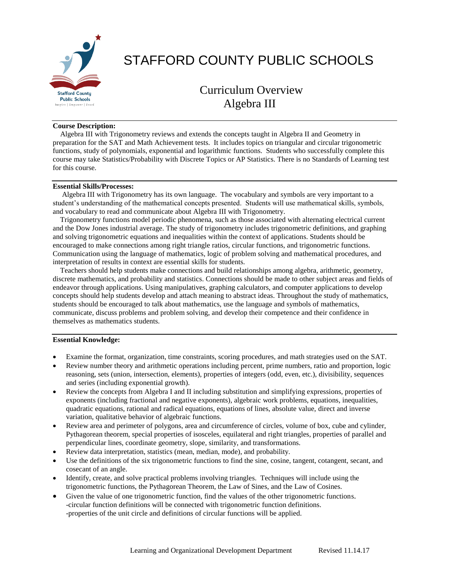

# STAFFORD COUNTY PUBLIC SCHOOLS

# Curriculum Overview Algebra III

## **Course Description:**

 Algebra III with Trigonometry reviews and extends the concepts taught in Algebra II and Geometry in preparation for the SAT and Math Achievement tests. It includes topics on triangular and circular trigonometric functions, study of polynomials, exponential and logarithmic functions. Students who successfully complete this course may take Statistics/Probability with Discrete Topics or AP Statistics. There is no Standards of Learning test for this course.

#### **Essential Skills/Processes:**

 Algebra III with Trigonometry has its own language. The vocabulary and symbols are very important to a student's understanding of the mathematical concepts presented. Students will use mathematical skills, symbols, and vocabulary to read and communicate about Algebra III with Trigonometry.

 Trigonometry functions model periodic phenomena, such as those associated with alternating electrical current and the Dow Jones industrial average. The study of trigonometry includes trigonometric definitions, and graphing and solving trigonometric equations and inequalities within the context of applications. Students should be encouraged to make connections among right triangle ratios, circular functions, and trigonometric functions. Communication using the language of mathematics, logic of problem solving and mathematical procedures, and interpretation of results in context are essential skills for students.

 Teachers should help students make connections and build relationships among algebra, arithmetic, geometry, discrete mathematics, and probability and statistics. Connections should be made to other subject areas and fields of endeavor through applications. Using manipulatives, graphing calculators, and computer applications to develop concepts should help students develop and attach meaning to abstract ideas. Throughout the study of mathematics, students should be encouraged to talk about mathematics, use the language and symbols of mathematics, communicate, discuss problems and problem solving, and develop their competence and their confidence in themselves as mathematics students.

#### **Essential Knowledge:**

- Examine the format, organization, time constraints, scoring procedures, and math strategies used on the SAT.
- Review number theory and arithmetic operations including percent, prime numbers, ratio and proportion, logic reasoning, sets (union, intersection, elements), properties of integers (odd, even, etc.), divisibility, sequences and series (including exponential growth).
- Review the concepts from Algebra I and II including substitution and simplifying expressions, properties of exponents (including fractional and negative exponents), algebraic work problems, equations, inequalities, quadratic equations, rational and radical equations, equations of lines, absolute value, direct and inverse variation, qualitative behavior of algebraic functions.
- Review area and perimeter of polygons, area and circumference of circles, volume of box, cube and cylinder, Pythagorean theorem, special properties of isosceles, equilateral and right triangles, properties of parallel and perpendicular lines, coordinate geometry, slope, similarity, and transformations.
- Review data interpretation, statistics (mean, median, mode), and probability.
- Use the definitions of the six trigonometric functions to find the sine, cosine, tangent, cotangent, secant, and cosecant of an angle.
- Identify, create, and solve practical problems involving triangles. Techniques will include using the trigonometric functions, the Pythagorean Theorem, the Law of Sines, and the Law of Cosines.
- Given the value of one trigonometric function, find the values of the other trigonometric functions. -circular function definitions will be connected with trigonometric function definitions. -properties of the unit circle and definitions of circular functions will be applied.